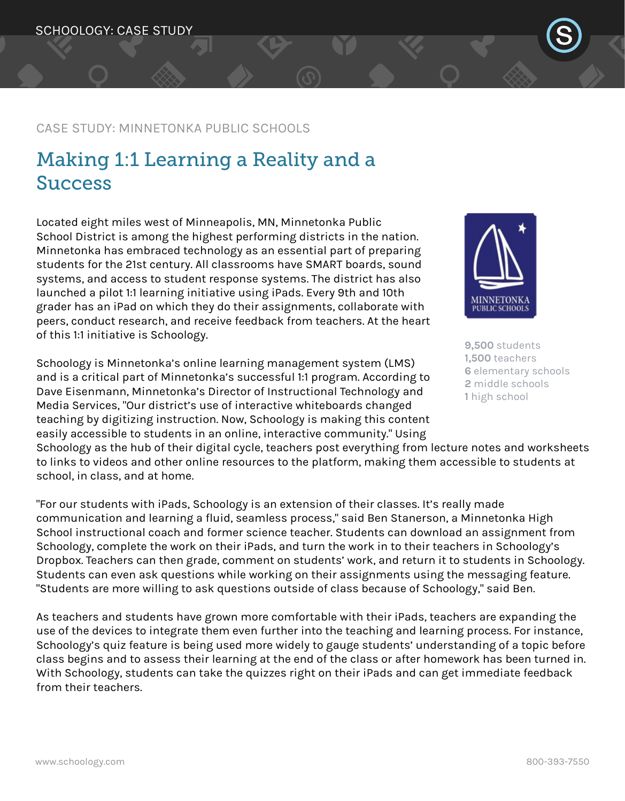## CASE STUDY: MINNETONKA PUBLIC SCHOOLS

# Making 1:1 Learning a Reality and a Success

Located eight miles west of Minneapolis, MN, Minnetonka Public School District is among the highest performing districts in the nation. Minnetonka has embraced technology as an essential part of preparing students for the 21st century. All classrooms have SMART boards, sound systems, and access to student response systems. The district has also launched a pilot 1:1 learning initiative using iPads. Every 9th and 10th grader has an iPad on which they do their assignments, collaborate with peers, conduct research, and receive feedback from teachers. At the heart of this 1:1 initiative is Schoology.

Schoology is Minnetonka's online learning management system (LMS) and is a critical part of Minnetonka's successful 1:1 program. According to Dave Eisenmann, Minnetonka's Director of Instructional Technology and Media Services, "Our district's use of interactive whiteboards changed teaching by digitizing instruction. Now, Schoology is making this content easily accessible to students in an online, interactive community." Using

MINNETONKA **PUBLIC SCHOOLS** 

**9,500** students **1,500** teachers **6** elementary schools **2** middle schools **1** high school

Schoology as the hub of their digital cycle, teachers post everything from lecture notes and worksheets to links to videos and other online resources to the platform, making them accessible to students at school, in class, and at home.

"For our students with iPads, Schoology is an extension of their classes. It's really made communication and learning a fluid, seamless process," said Ben Stanerson, a Minnetonka High School instructional coach and former science teacher. Students can download an assignment from Schoology, complete the work on their iPads, and turn the work in to their teachers in Schoology's Dropbox. Teachers can then grade, comment on students' work, and return it to students in Schoology. Students can even ask questions while working on their assignments using the messaging feature. "Students are more willing to ask questions outside of class because of Schoology," said Ben.

As teachers and students have grown more comfortable with their iPads, teachers are expanding the use of the devices to integrate them even further into the teaching and learning process. For instance, Schoology's quiz feature is being used more widely to gauge students' understanding of a topic before class begins and to assess their learning at the end of the class or after homework has been turned in. With Schoology, students can take the quizzes right on their iPads and can get immediate feedback from their teachers.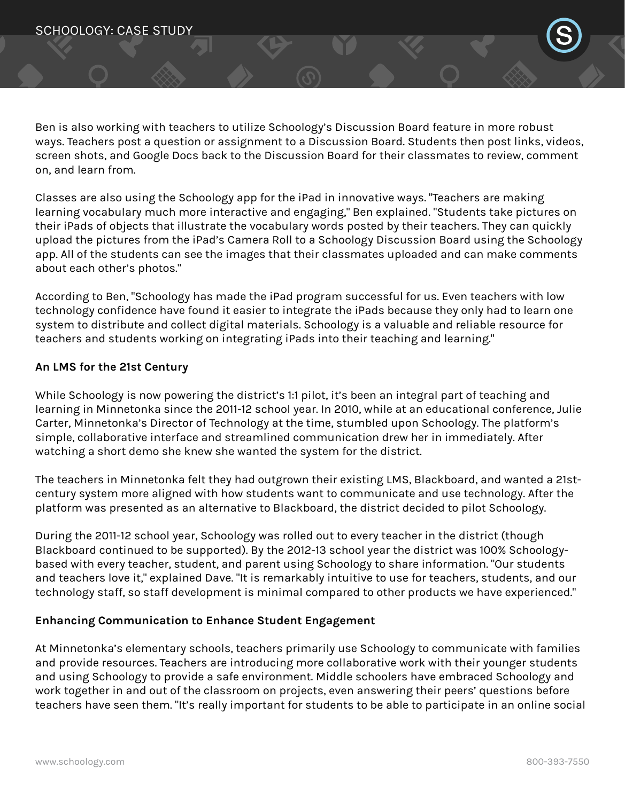Ben is also working with teachers to utilize Schoology's Discussion Board feature in more robust ways. Teachers post a question or assignment to a Discussion Board. Students then post links, videos, screen shots, and Google Docs back to the Discussion Board for their classmates to review, comment on, and learn from.

Classes are also using the Schoology app for the iPad in innovative ways. "Teachers are making learning vocabulary much more interactive and engaging," Ben explained. "Students take pictures on their iPads of objects that illustrate the vocabulary words posted by their teachers. They can quickly upload the pictures from the iPad's Camera Roll to a Schoology Discussion Board using the Schoology app. All of the students can see the images that their classmates uploaded and can make comments about each other's photos."

According to Ben, "Schoology has made the iPad program successful for us. Even teachers with low technology confidence have found it easier to integrate the iPads because they only had to learn one system to distribute and collect digital materials. Schoology is a valuable and reliable resource for teachers and students working on integrating iPads into their teaching and learning."

### **An LMS for the 21st Century**

While Schoology is now powering the district's 1:1 pilot, it's been an integral part of teaching and learning in Minnetonka since the 2011-12 school year. In 2010, while at an educational conference, Julie Carter, Minnetonka's Director of Technology at the time, stumbled upon Schoology. The platform's simple, collaborative interface and streamlined communication drew her in immediately. After watching a short demo she knew she wanted the system for the district.

The teachers in Minnetonka felt they had outgrown their existing LMS, Blackboard, and wanted a 21stcentury system more aligned with how students want to communicate and use technology. After the platform was presented as an alternative to Blackboard, the district decided to pilot Schoology.

During the 2011-12 school year, Schoology was rolled out to every teacher in the district (though Blackboard continued to be supported). By the 2012-13 school year the district was 100% Schoologybased with every teacher, student, and parent using Schoology to share information. "Our students and teachers love it," explained Dave. "It is remarkably intuitive to use for teachers, students, and our technology staff, so staff development is minimal compared to other products we have experienced."

### **Enhancing Communication to Enhance Student Engagement**

At Minnetonka's elementary schools, teachers primarily use Schoology to communicate with families and provide resources. Teachers are introducing more collaborative work with their younger students and using Schoology to provide a safe environment. Middle schoolers have embraced Schoology and work together in and out of the classroom on projects, even answering their peers' questions before teachers have seen them. "It's really important for students to be able to participate in an online social